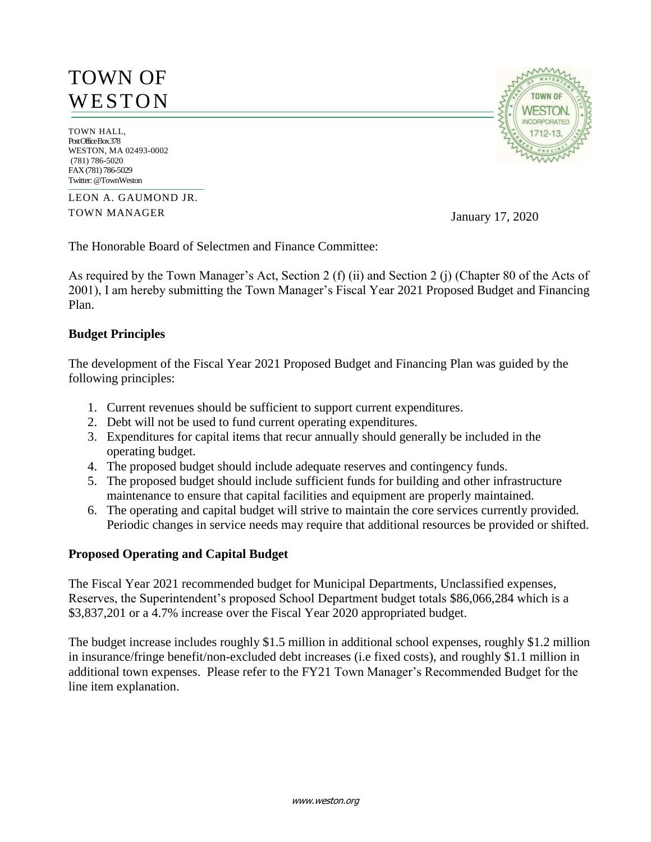# TOWN OF **WESTON**

TOWN HALL, Post Office Box 378 WESTON, MA 02493-0002 (781) 786-5020 FAX (781) 786-5029 Twitter: @TownWeston

LEON A. GAUMOND JR. TOWN MANAGER

January 17, 2020

The Honorable Board of Selectmen and Finance Committee:

As required by the Town Manager's Act, Section 2 (f) (ii) and Section 2 (j) (Chapter 80 of the Acts of 2001), I am hereby submitting the Town Manager's Fiscal Year 2021 Proposed Budget and Financing Plan.

### **Budget Principles**

The development of the Fiscal Year 2021 Proposed Budget and Financing Plan was guided by the following principles:

- 1. Current revenues should be sufficient to support current expenditures.
- 2. Debt will not be used to fund current operating expenditures.
- 3. Expenditures for capital items that recur annually should generally be included in the operating budget.
- 4. The proposed budget should include adequate reserves and contingency funds.
- 5. The proposed budget should include sufficient funds for building and other infrastructure maintenance to ensure that capital facilities and equipment are properly maintained.
- 6. The operating and capital budget will strive to maintain the core services currently provided. Periodic changes in service needs may require that additional resources be provided or shifted.

### **Proposed Operating and Capital Budget**

The Fiscal Year 2021 recommended budget for Municipal Departments, Unclassified expenses, Reserves, the Superintendent's proposed School Department budget totals \$86,066,284 which is a \$3,837,201 or a 4.7% increase over the Fiscal Year 2020 appropriated budget.

The budget increase includes roughly \$1.5 million in additional school expenses, roughly \$1.2 million in insurance/fringe benefit/non-excluded debt increases (i.e fixed costs), and roughly \$1.1 million in additional town expenses. Please refer to the FY21 Town Manager's Recommended Budget for the line item explanation.

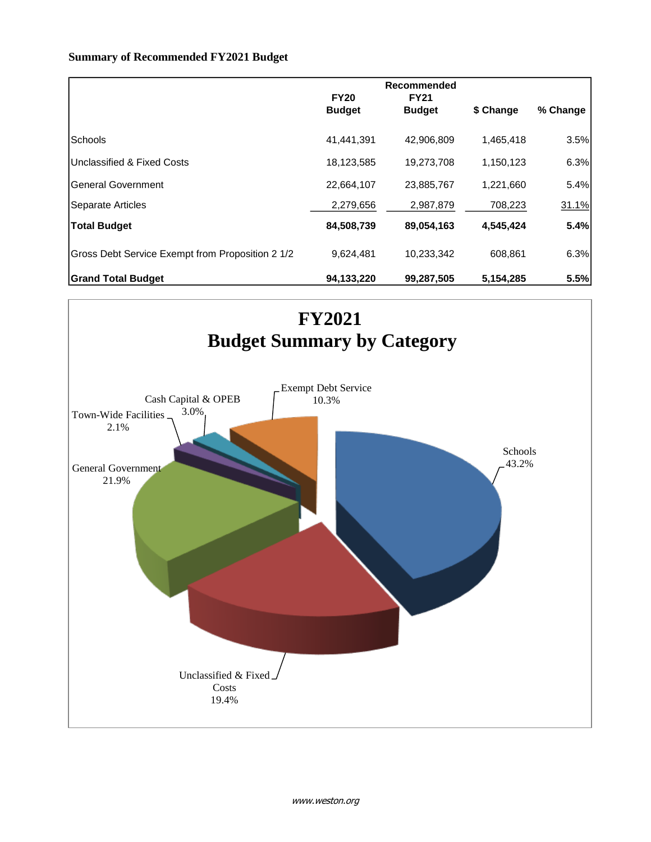#### **Summary of Recommended FY2021 Budget**

|                                                  | <b>FY20</b><br><b>Budget</b> | Recommended<br><b>FY21</b><br><b>Budget</b> | \$ Change | % Change |
|--------------------------------------------------|------------------------------|---------------------------------------------|-----------|----------|
| Schools                                          | 41,441,391                   | 42,906,809                                  | 1,465,418 | 3.5%     |
| Unclassified & Fixed Costs                       | 18,123,585                   | 19,273,708                                  | 1,150,123 | 6.3%     |
| <b>General Government</b>                        | 22,664,107                   | 23,885,767                                  | 1,221,660 | 5.4%     |
| Separate Articles                                | 2,279,656                    | 2,987,879                                   | 708,223   | 31.1%    |
| <b>Total Budget</b>                              | 84,508,739                   | 89,054,163                                  | 4,545,424 | 5.4%     |
| Gross Debt Service Exempt from Proposition 2 1/2 | 9,624,481                    | 10,233,342                                  | 608.861   | 6.3%     |
| Grand Total Budget                               | 94,133,220                   | 99,287,505                                  | 5,154,285 | 5.5%     |

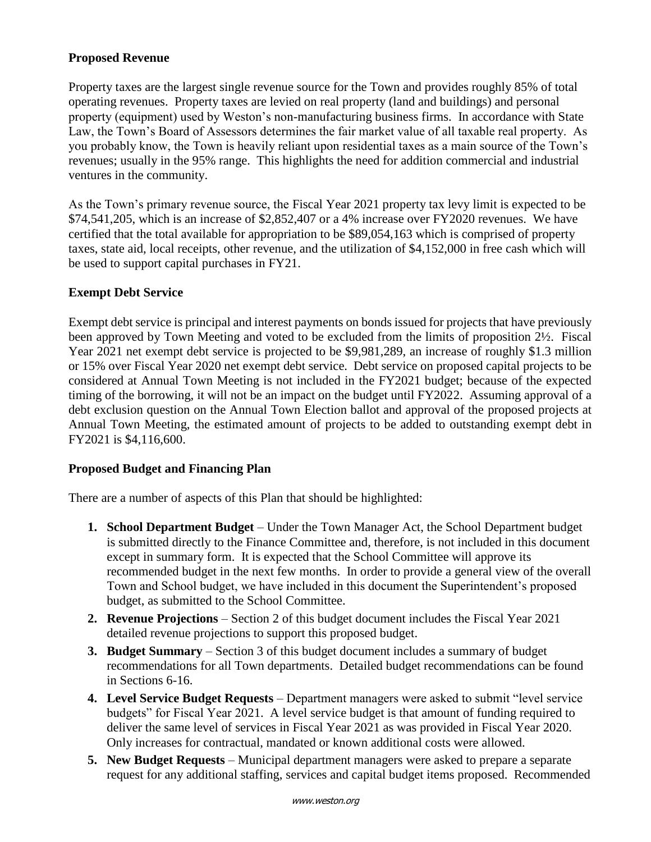## **Proposed Revenue**

Property taxes are the largest single revenue source for the Town and provides roughly 85% of total operating revenues. Property taxes are levied on real property (land and buildings) and personal property (equipment) used by Weston's non-manufacturing business firms. In accordance with State Law, the Town's Board of Assessors determines the fair market value of all taxable real property. As you probably know, the Town is heavily reliant upon residential taxes as a main source of the Town's revenues; usually in the 95% range. This highlights the need for addition commercial and industrial ventures in the community.

As the Town's primary revenue source, the Fiscal Year 2021 property tax levy limit is expected to be  $$74,541,205$ , which is an increase of  $$2,852,407$  or a 4% increase over FY2020 revenues. We have certified that the total available for appropriation to be \$89,054,163 which is comprised of property taxes, state aid, local receipts, other revenue, and the utilization of \$4,152,000 in free cash which will be used to support capital purchases in FY21.

## **Exempt Debt Service**

Exempt debt service is principal and interest payments on bonds issued for projects that have previously been approved by Town Meeting and voted to be excluded from the limits of proposition 2½. Fiscal Year 2021 net exempt debt service is projected to be \$9,981,289, an increase of roughly \$1.3 million or 15% over Fiscal Year 2020 net exempt debt service. Debt service on proposed capital projects to be considered at Annual Town Meeting is not included in the FY2021 budget; because of the expected timing of the borrowing, it will not be an impact on the budget until FY2022. Assuming approval of a debt exclusion question on the Annual Town Election ballot and approval of the proposed projects at Annual Town Meeting, the estimated amount of projects to be added to outstanding exempt debt in FY2021 is \$4,116,600.

## **Proposed Budget and Financing Plan**

There are a number of aspects of this Plan that should be highlighted:

- **1. School Department Budget** Under the Town Manager Act, the School Department budget is submitted directly to the Finance Committee and, therefore, is not included in this document except in summary form. It is expected that the School Committee will approve its recommended budget in the next few months. In order to provide a general view of the overall Town and School budget, we have included in this document the Superintendent's proposed budget, as submitted to the School Committee.
- **2. Revenue Projections** Section 2 of this budget document includes the Fiscal Year 2021 detailed revenue projections to support this proposed budget.
- **3. Budget Summary** Section 3 of this budget document includes a summary of budget recommendations for all Town departments. Detailed budget recommendations can be found in Sections 6-16.
- **4. Level Service Budget Requests**  Department managers were asked to submit "level service budgets" for Fiscal Year 2021. A level service budget is that amount of funding required to deliver the same level of services in Fiscal Year 2021 as was provided in Fiscal Year 2020. Only increases for contractual, mandated or known additional costs were allowed.
- **5. New Budget Requests**  Municipal department managers were asked to prepare a separate request for any additional staffing, services and capital budget items proposed. Recommended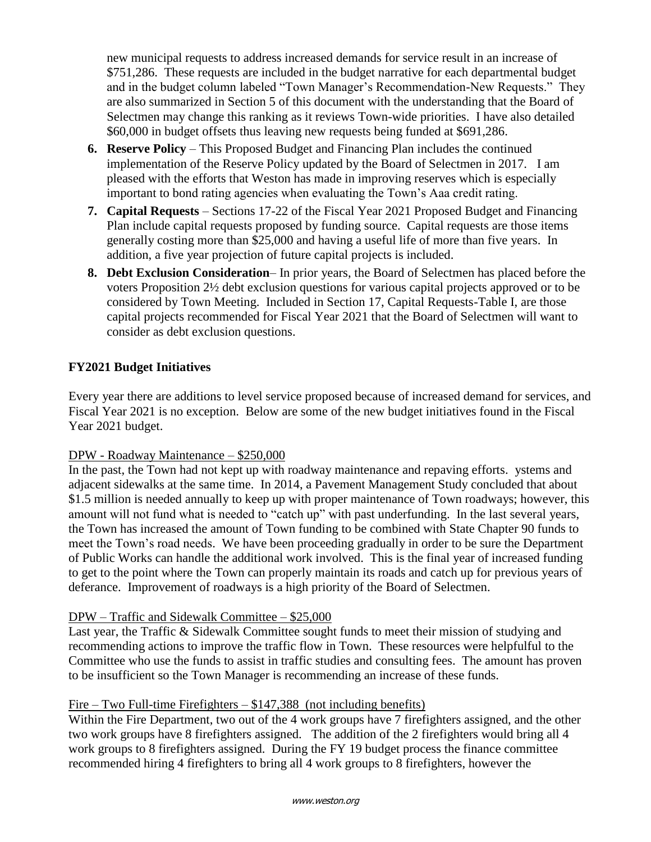new municipal requests to address increased demands for service result in an increase of \$751,286. These requests are included in the budget narrative for each departmental budget and in the budget column labeled "Town Manager's Recommendation-New Requests." They are also summarized in Section 5 of this document with the understanding that the Board of Selectmen may change this ranking as it reviews Town-wide priorities. I have also detailed \$60,000 in budget offsets thus leaving new requests being funded at \$691,286.

- **6. Reserve Policy**  This Proposed Budget and Financing Plan includes the continued implementation of the Reserve Policy updated by the Board of Selectmen in 2017. I am pleased with the efforts that Weston has made in improving reserves which is especially important to bond rating agencies when evaluating the Town's Aaa credit rating.
- **7. Capital Requests**  Sections 17-22 of the Fiscal Year 2021 Proposed Budget and Financing Plan include capital requests proposed by funding source. Capital requests are those items generally costing more than \$25,000 and having a useful life of more than five years. In addition, a five year projection of future capital projects is included.
- **8. Debt Exclusion Consideration** In prior years, the Board of Selectmen has placed before the voters Proposition 2½ debt exclusion questions for various capital projects approved or to be considered by Town Meeting. Included in Section 17, Capital Requests-Table I, are those capital projects recommended for Fiscal Year 2021 that the Board of Selectmen will want to consider as debt exclusion questions.

## **FY2021 Budget Initiatives**

Every year there are additions to level service proposed because of increased demand for services, and Fiscal Year 2021 is no exception. Below are some of the new budget initiatives found in the Fiscal Year 2021 budget.

### DPW - Roadway Maintenance – \$250,000

In the past, the Town had not kept up with roadway maintenance and repaving efforts. ystems and adjacent sidewalks at the same time. In 2014, a Pavement Management Study concluded that about \$1.5 million is needed annually to keep up with proper maintenance of Town roadways; however, this amount will not fund what is needed to "catch up" with past underfunding. In the last several years, the Town has increased the amount of Town funding to be combined with State Chapter 90 funds to meet the Town's road needs. We have been proceeding gradually in order to be sure the Department of Public Works can handle the additional work involved. This is the final year of increased funding to get to the point where the Town can properly maintain its roads and catch up for previous years of deferance. Improvement of roadways is a high priority of the Board of Selectmen.

### DPW – Traffic and Sidewalk Committee – \$25,000

Last year, the Traffic & Sidewalk Committee sought funds to meet their mission of studying and recommending actions to improve the traffic flow in Town. These resources were helpfulful to the Committee who use the funds to assist in traffic studies and consulting fees. The amount has proven to be insufficient so the Town Manager is recommending an increase of these funds.

## Fire – Two Full-time Firefighters – \$147,388 (not including benefits)

Within the Fire Department, two out of the 4 work groups have 7 firefighters assigned, and the other two work groups have 8 firefighters assigned. The addition of the 2 firefighters would bring all 4 work groups to 8 firefighters assigned. During the FY 19 budget process the finance committee recommended hiring 4 firefighters to bring all 4 work groups to 8 firefighters, however the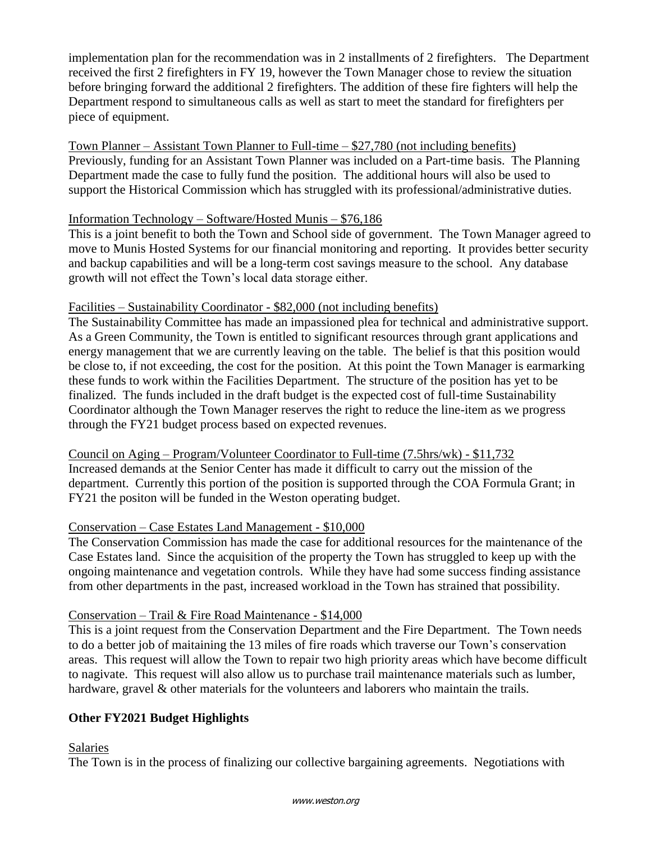implementation plan for the recommendation was in 2 installments of 2 firefighters. The Department received the first 2 firefighters in FY 19, however the Town Manager chose to review the situation before bringing forward the additional 2 firefighters. The addition of these fire fighters will help the Department respond to simultaneous calls as well as start to meet the standard for firefighters per piece of equipment.

Town Planner – Assistant Town Planner to Full-time – \$27,780 (not including benefits) Previously, funding for an Assistant Town Planner was included on a Part-time basis. The Planning Department made the case to fully fund the position. The additional hours will also be used to support the Historical Commission which has struggled with its professional/administrative duties.

### Information Technology – Software/Hosted Munis – \$76,186

This is a joint benefit to both the Town and School side of government. The Town Manager agreed to move to Munis Hosted Systems for our financial monitoring and reporting. It provides better security and backup capabilities and will be a long-term cost savings measure to the school. Any database growth will not effect the Town's local data storage either.

### Facilities – Sustainability Coordinator - \$82,000 (not including benefits)

The Sustainability Committee has made an impassioned plea for technical and administrative support. As a Green Community, the Town is entitled to significant resources through grant applications and energy management that we are currently leaving on the table. The belief is that this position would be close to, if not exceeding, the cost for the position. At this point the Town Manager is earmarking these funds to work within the Facilities Department. The structure of the position has yet to be finalized. The funds included in the draft budget is the expected cost of full-time Sustainability Coordinator although the Town Manager reserves the right to reduce the line-item as we progress through the FY21 budget process based on expected revenues.

Council on Aging – Program/Volunteer Coordinator to Full-time (7.5hrs/wk) - \$11,732 Increased demands at the Senior Center has made it difficult to carry out the mission of the department. Currently this portion of the position is supported through the COA Formula Grant; in FY21 the positon will be funded in the Weston operating budget.

### Conservation – Case Estates Land Management - \$10,000

The Conservation Commission has made the case for additional resources for the maintenance of the Case Estates land. Since the acquisition of the property the Town has struggled to keep up with the ongoing maintenance and vegetation controls. While they have had some success finding assistance from other departments in the past, increased workload in the Town has strained that possibility.

### Conservation – Trail & Fire Road Maintenance - \$14,000

This is a joint request from the Conservation Department and the Fire Department. The Town needs to do a better job of maitaining the 13 miles of fire roads which traverse our Town's conservation areas. This request will allow the Town to repair two high priority areas which have become difficult to nagivate. This request will also allow us to purchase trail maintenance materials such as lumber, hardware, gravel & other materials for the volunteers and laborers who maintain the trails.

## **Other FY2021 Budget Highlights**

Salaries

The Town is in the process of finalizing our collective bargaining agreements. Negotiations with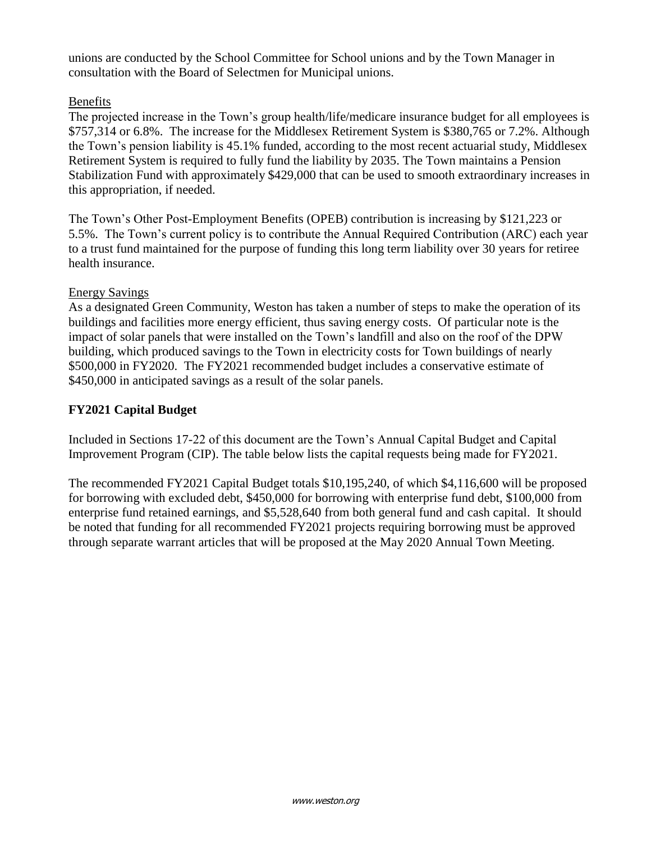unions are conducted by the School Committee for School unions and by the Town Manager in consultation with the Board of Selectmen for Municipal unions.

## Benefits

The projected increase in the Town's group health/life/medicare insurance budget for all employees is \$757,314 or 6.8%. The increase for the Middlesex Retirement System is \$380,765 or 7.2%. Although the Town's pension liability is 45.1% funded, according to the most recent actuarial study, Middlesex Retirement System is required to fully fund the liability by 2035. The Town maintains a Pension Stabilization Fund with approximately \$429,000 that can be used to smooth extraordinary increases in this appropriation, if needed.

The Town's Other Post-Employment Benefits (OPEB) contribution is increasing by \$121,223 or 5.5%. The Town's current policy is to contribute the Annual Required Contribution (ARC) each year to a trust fund maintained for the purpose of funding this long term liability over 30 years for retiree health insurance.

## Energy Savings

As a designated Green Community, Weston has taken a number of steps to make the operation of its buildings and facilities more energy efficient, thus saving energy costs. Of particular note is the impact of solar panels that were installed on the Town's landfill and also on the roof of the DPW building, which produced savings to the Town in electricity costs for Town buildings of nearly \$500,000 in FY2020. The FY2021 recommended budget includes a conservative estimate of \$450,000 in anticipated savings as a result of the solar panels.

## **FY2021 Capital Budget**

Included in Sections 17-22 of this document are the Town's Annual Capital Budget and Capital Improvement Program (CIP). The table below lists the capital requests being made for FY2021.

The recommended FY2021 Capital Budget totals \$10,195,240, of which \$4,116,600 will be proposed for borrowing with excluded debt, \$450,000 for borrowing with enterprise fund debt, \$100,000 from enterprise fund retained earnings, and \$5,528,640 from both general fund and cash capital. It should be noted that funding for all recommended FY2021 projects requiring borrowing must be approved through separate warrant articles that will be proposed at the May 2020 Annual Town Meeting.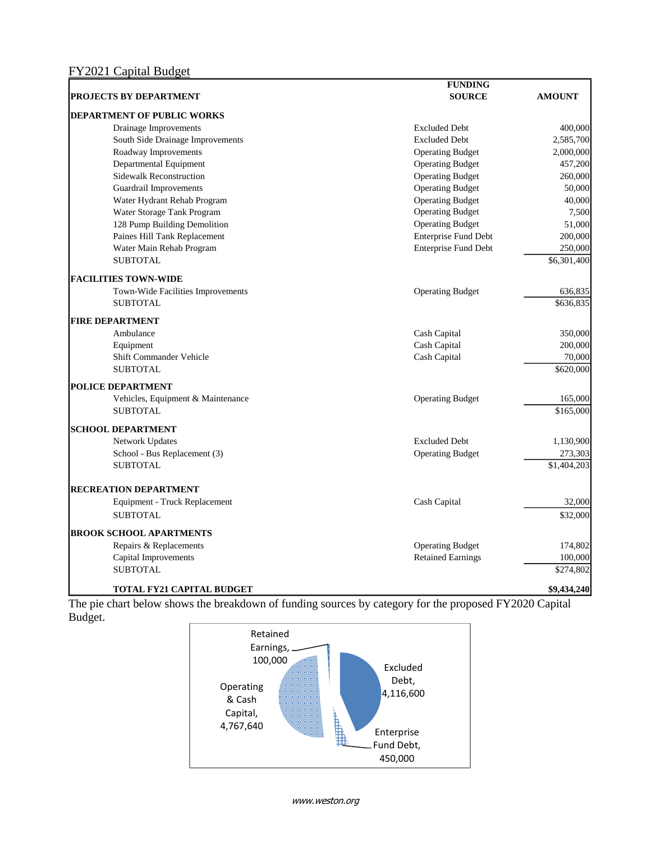|                                   | <b>FUNDING</b>              |               |
|-----------------------------------|-----------------------------|---------------|
| <b>PROJECTS BY DEPARTMENT</b>     | <b>SOURCE</b>               | <b>AMOUNT</b> |
| <b>DEPARTMENT OF PUBLIC WORKS</b> |                             |               |
| Drainage Improvements             | <b>Excluded Debt</b>        | 400,000       |
| South Side Drainage Improvements  | <b>Excluded Debt</b>        | 2,585,700     |
| Roadway Improvements              | <b>Operating Budget</b>     | 2,000,000     |
| Departmental Equipment            | <b>Operating Budget</b>     | 457,200       |
| <b>Sidewalk Reconstruction</b>    | <b>Operating Budget</b>     | 260,000       |
| <b>Guardrail Improvements</b>     | <b>Operating Budget</b>     | 50,000        |
| Water Hydrant Rehab Program       | <b>Operating Budget</b>     | 40,000        |
| Water Storage Tank Program        | <b>Operating Budget</b>     | 7,500         |
| 128 Pump Building Demolition      | <b>Operating Budget</b>     | 51,000        |
| Paines Hill Tank Replacement      | Enterprise Fund Debt        | 200,000       |
| Water Main Rehab Program          | <b>Enterprise Fund Debt</b> | 250,000       |
| <b>SUBTOTAL</b>                   |                             | \$6,301,400   |
| <b>FACILITIES TOWN-WIDE</b>       |                             |               |
| Town-Wide Facilities Improvements | <b>Operating Budget</b>     | 636,835       |
| <b>SUBTOTAL</b>                   |                             | \$636,835     |
| <b>FIRE DEPARTMENT</b>            |                             |               |
| Ambulance                         | Cash Capital                | 350,000       |
| Equipment                         | Cash Capital                | 200,000       |
| Shift Commander Vehicle           | Cash Capital                | 70,000        |
| <b>SUBTOTAL</b>                   |                             | \$620,000     |
| POLICE DEPARTMENT                 |                             |               |
| Vehicles, Equipment & Maintenance | <b>Operating Budget</b>     | 165,000       |
| <b>SUBTOTAL</b>                   |                             | \$165,000     |
| <b>SCHOOL DEPARTMENT</b>          |                             |               |
| Network Updates                   | <b>Excluded Debt</b>        | 1,130,900     |
| School - Bus Replacement (3)      | <b>Operating Budget</b>     | 273,303       |
| <b>SUBTOTAL</b>                   |                             | \$1,404,203   |
| <b>RECREATION DEPARTMENT</b>      |                             |               |
| Equipment - Truck Replacement     | Cash Capital                | 32,000        |
| <b>SUBTOTAL</b>                   |                             | \$32,000      |
| <b>BROOK SCHOOL APARTMENTS</b>    |                             |               |
| Repairs & Replacements            | <b>Operating Budget</b>     | 174,802       |
| Capital Improvements              | <b>Retained Earnings</b>    | 100,000       |
| <b>SUBTOTAL</b>                   |                             | \$274,802     |
| TOTAL FY21 CAPITAL BUDGET         |                             | \$9,434,240   |

The pie chart below shows the breakdown of funding sources by category for the proposed FY2020 Capital Budget.



www.weston.org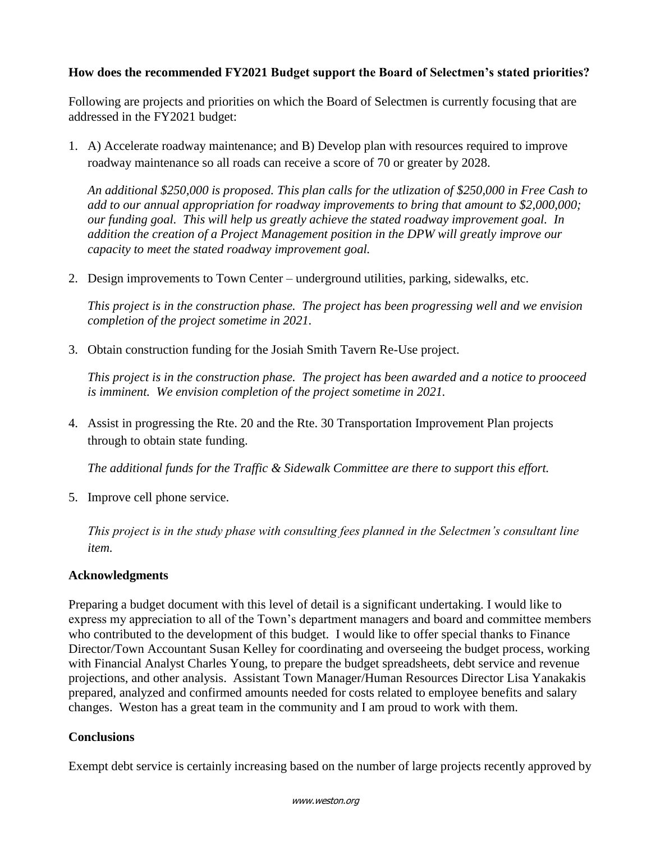## **How does the recommended FY2021 Budget support the Board of Selectmen's stated priorities?**

Following are projects and priorities on which the Board of Selectmen is currently focusing that are addressed in the FY2021 budget:

1. A) Accelerate roadway maintenance; and B) Develop plan with resources required to improve roadway maintenance so all roads can receive a score of 70 or greater by 2028.

*An additional \$250,000 is proposed. This plan calls for the utlization of \$250,000 in Free Cash to add to our annual appropriation for roadway improvements to bring that amount to \$2,000,000; our funding goal. This will help us greatly achieve the stated roadway improvement goal. In addition the creation of a Project Management position in the DPW will greatly improve our capacity to meet the stated roadway improvement goal.*

2. Design improvements to Town Center – underground utilities, parking, sidewalks, etc.

*This project is in the construction phase. The project has been progressing well and we envision completion of the project sometime in 2021.* 

3. Obtain construction funding for the Josiah Smith Tavern Re-Use project.

*This project is in the construction phase. The project has been awarded and a notice to prooceed is imminent. We envision completion of the project sometime in 2021.*

4. Assist in progressing the Rte. 20 and the Rte. 30 Transportation Improvement Plan projects through to obtain state funding.

*The additional funds for the Traffic & Sidewalk Committee are there to support this effort.*

5. Improve cell phone service.

*This project is in the study phase with consulting fees planned in the Selectmen's consultant line item.*

## **Acknowledgments**

Preparing a budget document with this level of detail is a significant undertaking. I would like to express my appreciation to all of the Town's department managers and board and committee members who contributed to the development of this budget. I would like to offer special thanks to Finance Director/Town Accountant Susan Kelley for coordinating and overseeing the budget process, working with Financial Analyst Charles Young, to prepare the budget spreadsheets, debt service and revenue projections, and other analysis. Assistant Town Manager/Human Resources Director Lisa Yanakakis prepared, analyzed and confirmed amounts needed for costs related to employee benefits and salary changes. Weston has a great team in the community and I am proud to work with them.

## **Conclusions**

Exempt debt service is certainly increasing based on the number of large projects recently approved by